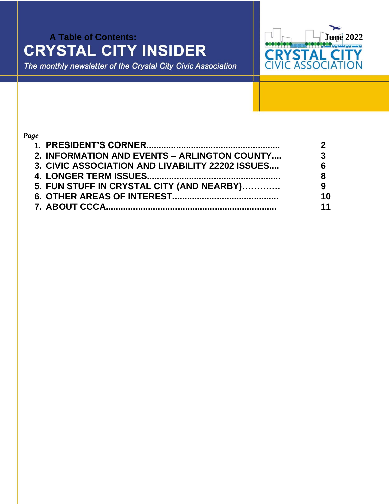# **A Table of Contents:**<br> **CRYSTAL CITY INSIDER**<br>
The monthly newsletter of the Crystal City Civic Association<br>
The monthly newsletter of the Crystal City Civic Association

The monthly newsletter of the Crystal City Civic Association



# *Page*

| 2. INFORMATION AND EVENTS - ARLINGTON COUNTY     | 3  |
|--------------------------------------------------|----|
| 3. CIVIC ASSOCIATION AND LIVABILITY 22202 ISSUES |    |
|                                                  | 8  |
| 5. FUN STUFF IN CRYSTAL CITY (AND NEARBY)        | 9  |
|                                                  | 10 |
|                                                  | 11 |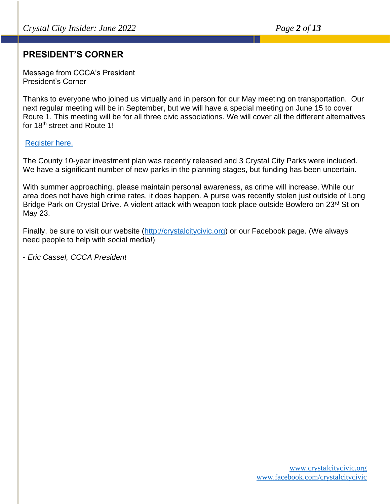# **PRESIDENT'S CORNER**

Message from CCCA's President President's Corner

Thanks to everyone who joined us virtually and in person for our May meeting on transportation. Our next regular meeting will be in September, but we will have a special meeting on June 15 to cover Route 1. This meeting will be for all three civic associations. We will cover all the different alternatives for 18<sup>th</sup> street and Route 1!

#### [Register here.](https://us02web.zoom.us/meeting/register/tZYoceqpqzgvE9Ir9wqYTiq-AUVPgL1LHXHQ)

The County 10-year investment plan was recently released and 3 Crystal City Parks were included. We have a significant number of new parks in the planning stages, but funding has been uncertain.

With summer approaching, please maintain personal awareness, as crime will increase. While our area does not have high crime rates, it does happen. A purse was recently stolen just outside of Long Bridge Park on Crystal Drive. A violent attack with weapon took place outside Bowlero on 23<sup>rd</sup> St on May 23.

Finally, be sure to visit our website [\(http://crystalcitycivic.org\)](http://crystalcitycivic.org/) or our Facebook page. (We always need people to help with social media!)

- *Eric Cassel, CCCA President*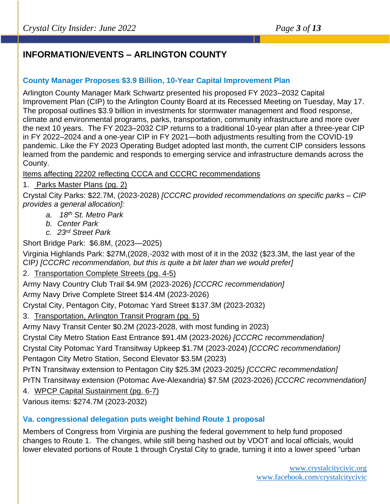# **INFORMATION/EVENTS – ARLINGTON COUNTY**

# **County Manager Proposes \$3.9 Billion, 10-Year Capital Improvement Plan**

Arlington County Manager Mark Schwartz presented his proposed FY 2023–2032 Capital Improvement Plan (CIP) to the Arlington County Board at its Recessed Meeting on Tuesday, May 17. The proposal outlines \$3.9 billion in investments for stormwater management and flood response, climate and environmental programs, parks, transportation, community infrastructure and more over the next 10 years. The FY 2023–2032 CIP returns to a traditional 10-year plan after a three-year CIP in FY 2022–2024 and a one-year CIP in FY 2021—both adjustments resulting from the COVID-19 pandemic. Like the FY 2023 Operating Budget adopted last month, the current CIP considers lessons learned from the pandemic and responds to emerging service and infrastructure demands across the County.

Items affecting 22202 reflecting CCCA and CCCRC recommendations

1. Parks Master Plans (pg. 2)

Crystal City Parks: \$22.7M, (2023-2028) *[CCCRC provided recommendations on specific parks – CIP provides a general allocation]:*

- *a. 18th St. Metro Park*
- *b. Center Park*
- *c. 23rd Street Park*

Short Bridge Park: \$6.8M, (2023—2025)

Virginia Highlands Park: \$27M,(2028,-2032 with most of it in the 2032 (\$23.3M, the last year of the CIP*) [CCCRC recommendation, but this is quite a bit later than we would prefer]*

#### 2. Transportation Complete Streets (pg. 4-5)

Army Navy Country Club Trail \$4.9M (2023-2026) *[CCCRC recommendation]*

Army Navy Drive Complete Street \$14.4M (2023-2026)

Crystal City, Pentagon City, Potomac Yard Street \$137.3M (2023-2032)

3. Transportation, Arlington Transit Program (pg. 5)

Army Navy Transit Center \$0.2M (2023-2028, with most funding in 2023)

Crystal City Metro Station East Entrance \$91.4M (2023-2026*) [CCCRC recommendation]*

Crystal City Potomac Yard Transitway Upkeep \$1.7M (2023-2024) *[CCCRC recommendation]* Pentagon City Metro Station, Second Elevator \$3.5M (2023)

PrTN Transitway extension to Pentagon City \$25.3M (2023-2025*) [CCCRC recommendation]*

PrTN Transitway extension (Potomac Ave-Alexandria) \$7.5M (2023-2026) *[CCCRC recommendation]*

4. WPCP Capital Sustainment (pg. 6-7)

Various items: \$274.7M (2023-2032)

# **Va. congressional delegation puts weight behind Route 1 proposal**

Members of Congress from Virginia are pushing the federal government to help fund proposed changes to Route 1. The changes, while still being hashed out by VDOT and local officials, would lower elevated portions of Route 1 through Crystal City to grade, turning it into a lower speed "urban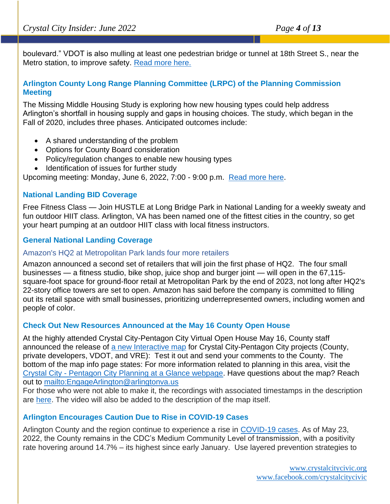boulevard." VDOT is also mulling at least one pedestrian bridge or tunnel at 18th Street S., near the Metro station, to improve safety. [Read more here.](https://www.arlnow.com/2022/05/24/va-congressional-delegation-puts-weight-behind-route-1-proposal/?mc_cid=a92d166c95&mc_eid=e22d65c5c2)

# **Arlington County Long Range Planning Committee (LRPC) of the Planning Commission Meeting**

The Missing Middle Housing Study is exploring how new housing types could help address Arlington's shortfall in housing supply and gaps in housing choices. The study, which began in the Fall of 2020, includes three phases. Anticipated outcomes include:

- A shared understanding of the problem
- Options for County Board consideration
- Policy/regulation changes to enable new housing types
- Identification of issues for further study

Upcoming meeting: Monday, June 6, 2022, 7:00 - 9:00 p.m. [Read more here.](http://commissions.arlingtonva.us/planning-commission/lrpc/)

# **National Landing BID Coverage**

Free Fitness Class — Join HUSTLE at Long Bridge Park in National Landing for a weekly sweaty and fun outdoor HIIT class. Arlington, VA has been named one of the fittest cities in the country, so get your heart pumping at an outdoor HIIT class with local fitness instructors.

# **General National Landing Coverage**

#### Amazon's HQ2 at Metropolitan Park lands four more retailers

Amazon announced a second set of retailers that will join the first phase of HQ2. The four small businesses — a fitness studio, bike shop, juice shop and burger joint — will open in the 67,115 square-foot space for ground-floor retail at Metropolitan Park by the end of 2023, not long after HQ2's 22-story office towers are set to open. Amazon has said before the company is committed to filling out its retail space with small businesses, prioritizing underrepresented owners, including women and people of color.

#### **Check Out New Resources Announced at the May 16 County Open House**

At the highly attended Crystal City-Pentagon City Virtual Open House May 16, County staff announced the release of [a new Interactive map](https://arlgis.maps.arcgis.com/apps/dashboards/7f36c2e84dda44a88d34290309c0edd2) for Crystal City-Pentagon City projects (County, private developers, VDOT, and VRE): Test it out and send your comments to the County. The bottom of the map info page states: For more information related to planning in this area, visit the Crystal City - [Pentagon City Planning at a Glance webpage.](https://www.arlingtonva.us/Government/Projects/Neighborhoods/Crystal-City/Development) Have questions about the map? Reach out to<mailto:EngageArlington@arlingtonva.us>

For those who were not able to make it, the recordings with associated timestamps in the description are [here.](https://www.youtube.com/watch?v=0oDB0BTJY3A) The video will also be added to the description of the map itself.

# **Arlington Encourages Caution Due to Rise in COVID-19 Cases**

Arlington County and the region continue to experience a rise in [COVID-19 cases.](https://content.govdelivery.com/accounts/VAARLINGTON/bulletins/3191575) As of May 23, 2022, the County remains in the CDC's Medium Community Level of transmission, with a positivity rate hovering around 14.7% – its highest since early January. Use layered prevention strategies to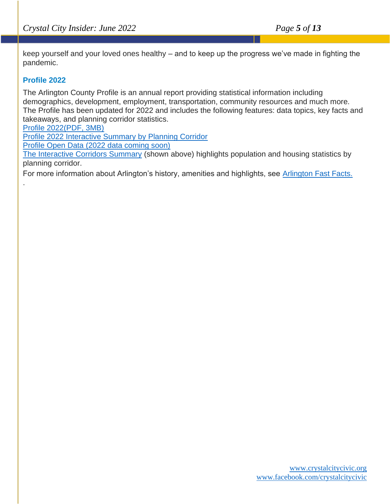keep yourself and your loved ones healthy – and to keep up the progress we've made in fighting the pandemic.

# **Profile 2022**

.

The Arlington County Profile is an annual report providing statistical information including demographics, development, employment, transportation, community resources and much more. The Profile has been updated for 2022 and includes the following features: data topics, key facts and takeaways, and planning corridor statistics.

[Profile 2022\(PDF, 3MB\)](https://www.arlingtonva.us/files/sharedassets/public/projects/documents/data-and-research/profile2022_1.pdf)

[Profile 2022 Interactive Summary by Planning Corridor](https://app.powerbi.com/view?r=eyJrIjoiMzc2YTEyZGQtYTdiNi00OTEyLTlmMjItZWRiMzg2NWI2ZmNkIiwidCI6IjgwMzU0ODA0LTFmZGYtNDI4ZS05ZjVmLTUwOTFlOTk0Y2Y1NCIsImMiOjF9)

[Profile Open Data \(2022 data coming soon\)](https://data.arlingtonva.us/results?term=profile)

[The Interactive Corridors Summary](https://app.powerbi.com/view?r=eyJrIjoiMzc2YTEyZGQtYTdiNi00OTEyLTlmMjItZWRiMzg2NWI2ZmNkIiwidCI6IjgwMzU0ODA0LTFmZGYtNDI4ZS05ZjVmLTUwOTFlOTk0Y2Y1NCIsImMiOjF9) (shown above) highlights population and housing statistics by planning corridor.

For more information about Arlington's history, amenities and highlights, see [Arlington Fast Facts.](https://www.arlingtonva.us/Government/Projects/Data-Research/Fast-Facts)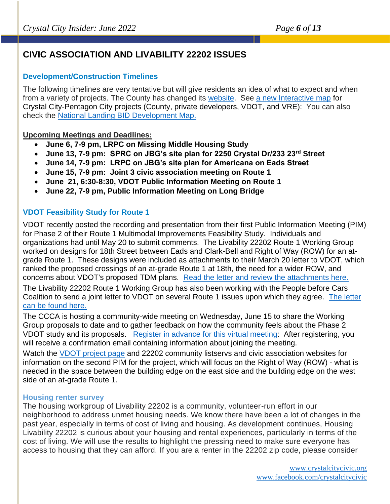# **CIVIC ASSOCIATION AND LIVABILITY 22202 ISSUES**

#### **Development/Construction Timelines**

The following timelines are very tentative but will give residents an idea of what to expect and when from a variety of projects. The County has changed its [website.](https://www.arlingtonva.us/Home) See [a new Interactive map](https://arlgis.maps.arcgis.com/apps/dashboards/7f36c2e84dda44a88d34290309c0edd2) for Crystal City-Pentagon City projects (County, private developers, VDOT, and VRE): You can also check the [National Landing BID Development Map.](https://nationallanding.org/our-downtown/development-map)

#### **Upcoming Meetings and Deadlines:**

- **June 6, 7-9 pm, LRPC on Missing Middle Housing Study**
- **June 13, 7-9 pm: SPRC on JBG's site plan for 2250 Crystal Dr/233 23rd Street**
- **June 14, 7-9 pm: LRPC on JBG's site plan for Americana on Eads Street**
- **June 15, 7-9 pm: Joint 3 civic association meeting on Route 1**
- **June 21, 6:30-8:30, VDOT Public Information Meeting on Route 1**
- **June 22, 7-9 pm, Public Information Meeting on Long Bridge**

# **VDOT Feasibility Study for Route 1**

VDOT recently posted the recording and presentation from their first Public Information Meeting (PIM) for Phase 2 of their Route 1 Multimodal Improvements Feasibility Study. Individuals and organizations had until May 20 to submit comments. The Livability 22202 Route 1 Working Group worked on designs for 18th Street between Eads and Clark-Bell and Right of Way (ROW) for an atgrade Route 1. These designs were included as attachments to their March 20 letter to VDOT, which ranked the proposed crossings of an at-grade Route 1 at 18th, the need for a wider ROW, and concerns about VDOT's proposed TDM plans. [Read the letter and review the attachments here.](https://drive.google.com/file/d/1FoUMnrc3ZfEIWXOUsm-yL0mA0dMx_YOL/view?usp=sharing)  The Livability 22202 Route 1 Working Group has also been working with the People before Cars Coalition to send a joint letter to VDOT on several Route 1 issues upon which they agree. [The letter](https://ctycms.com/va-national-landing/docs/letter-from-pbc-and-livability-working-group-to-vdot-5-20-22.pdf) 

[can be found here.](https://ctycms.com/va-national-landing/docs/letter-from-pbc-and-livability-working-group-to-vdot-5-20-22.pdf) 

The CCCA is hosting a community-wide meeting on Wednesday, June 15 to share the Working Group proposals to date and to gather feedback on how the community feels about the Phase 2 VDOT study and its proposals. [Register in advance for this virtual meeting:](https://us02web.zoom.us/meeting/register/tZYoceqpqzgvE9Ir9wqYTiq-AUVPgL1LHXHQ) After registering, you will receive a confirmation email containing information about joining the meeting.

Watch the [VDOT project page](https://www.virginiadot.org/projects/northernvirginia/route_1_multimodal_improvements_study.asp) and 22202 community listservs and civic association websites for information on the second PIM for the project, which will focus on the Right of Way (ROW) - what is needed in the space between the building edge on the east side and the building edge on the west side of an at-grade Route 1.

#### **Housing renter survey**

The housing workgroup of Livability 22202 is a community, volunteer-run effort in our neighborhood to address unmet housing needs. We know there have been a lot of changes in the past year, especially in terms of cost of living and housing. As development continues, Housing Livability 22202 is curious about your housing and rental experiences, particularly in terms of the cost of living. We will use the results to highlight the pressing need to make sure everyone has access to housing that they can afford. If you are a renter in the 22202 zip code, please consider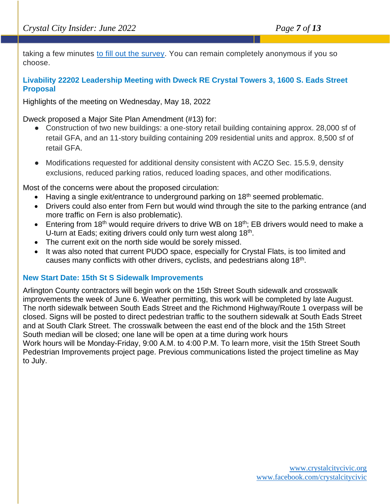taking a few minutes [to fill out the survey.](https://nam12.safelinks.protection.outlook.com/?url=https%3A%2F%2Fdocs.google.com%2Fforms%2Fd%2Fe%2F1FAIpQLSdF3n4LiYzCZin-nBxHMP0bwRwLS_K8QKSN0gmm8P3CajEv6A%2Fviewform&data=05%7C01%7C%7C97b4d47658bb46df63f708da43272870%7C84df9e7fe9f640afb435aaaaaaaaaaaa%7C1%7C0%7C637896132710743195%7CUnknown%7CTWFpbGZsb3d8eyJWIjoiMC4wLjAwMDAiLCJQIjoiV2luMzIiLCJBTiI6Ik1haWwiLCJXVCI6Mn0%3D%7C3000%7C%7C%7C&sdata=L0yth0IOqwiuT0SqgPnjHYpI9gSrydxz4JMmexgoEVA%3D&reserved=0) You can remain completely anonymous if you so choose.

# **Livability 22202 Leadership Meeting with Dweck RE Crystal Towers 3, 1600 S. Eads Street Proposal**

Highlights of the meeting on Wednesday, May 18, 2022

Dweck proposed a Major Site Plan Amendment (#13) for:

- Construction of two new buildings: a one-story retail building containing approx. 28,000 sf of retail GFA, and an 11-story building containing 209 residential units and approx. 8,500 sf of retail GFA.
- Modifications requested for additional density consistent with ACZO Sec. 15.5.9, density exclusions, reduced parking ratios, reduced loading spaces, and other modifications.

Most of the concerns were about the proposed circulation:

- Having a single exit/entrance to underground parking on 18<sup>th</sup> seemed problematic.
- Drivers could also enter from Fern but would wind through the site to the parking entrance (and more traffic on Fern is also problematic).
- Entering from 18<sup>th</sup> would require drivers to drive WB on 18<sup>th</sup>; EB drivers would need to make a U-turn at Eads; exiting drivers could only turn west along 18<sup>th</sup>.
- The current exit on the north side would be sorely missed.
- It was also noted that current PUDO space, especially for Crystal Flats, is too limited and causes many conflicts with other drivers, cyclists, and pedestrians along  $18<sup>th</sup>$ .

#### **New Start Date: 15th St S Sidewalk Improvements**

Arlington County contractors will begin work on the 15th Street South sidewalk and crosswalk improvements the week of June 6. Weather permitting, this work will be completed by late August. The north sidewalk between South Eads Street and the Richmond Highway/Route 1 overpass will be closed. Signs will be posted to direct pedestrian traffic to the southern sidewalk at South Eads Street and at South Clark Street. The crosswalk between the east end of the block and the 15th Street South median will be closed; one lane will be open at a time during work hours Work hours will be Monday-Friday, 9:00 A.M. to 4:00 P.M. To learn more, visit the 15th Street South Pedestrian Improvements project page. Previous communications listed the project timeline as May to July.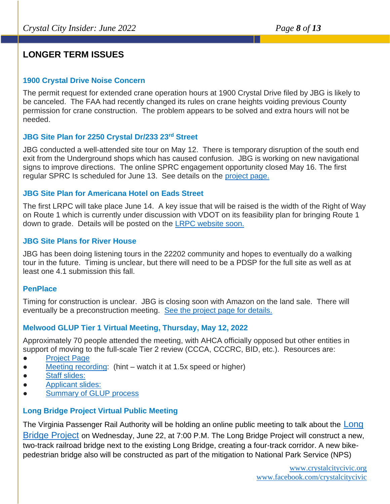# **LONGER TERM ISSUES**

#### **1900 Crystal Drive Noise Concern**

The permit request for extended crane operation hours at 1900 Crystal Drive filed by JBG is likely to be canceled. The FAA had recently changed its rules on crane heights voiding previous County permission for crane construction. The problem appears to be solved and extra hours will not be needed.

# **JBG Site Plan for 2250 Crystal Dr/233 23rd Street**

JBG conducted a well-attended site tour on May 12. There is temporary disruption of the south end exit from the Underground shops which has caused confusion. JBG is working on new navigational signs to improve directions. The online SPRC engagement opportunity closed May 16. The first regular SPRC Is scheduled for June 13. See details on the [project page.](https://www.arlingtonva.us/Government/Projects/Project-Types/Site-Plan/2250-Crystal-Drive)

#### **JBG Site Plan for Americana Hotel on Eads Street**

The first LRPC will take place June 14. A key issue that will be raised is the width of the Right of Way on Route 1 which is currently under discussion with VDOT on its feasibility plan for bringing Route 1 down to grade. Details will be posted on the [LRPC website soon.](https://www.arlingtonva.us/Government/Commissions-and-Advisory-Groups/Planning-Commission/Long-Range-Planning-Committee)

# **JBG Site Plans for River House**

JBG has been doing listening tours in the 22202 community and hopes to eventually do a walking tour in the future. Timing is unclear, but there will need to be a PDSP for the full site as well as at least one 4.1 submission this fall.

#### **PenPlace**

Timing for construction is unclear. JBG is closing soon with Amazon on the land sale. There will eventually be a preconstruction meeting. [See the project page for details.](https://www.arlingtonva.us/Government/Projects/Project-Types/Site-Plan/Pen-Place-2021)

# **Melwood GLUP Tier 1 Virtual Meeting, Thursday, May 12, 2022**

Approximately 70 people attended the meeting, with AHCA officially opposed but other entities in support of moving to the full-scale Tier 2 review (CCCA, CCCRC, BID, etc.). Resources are:

- [Project Page](file:///C:/Users/Owner/AppData/Local/Microsoft/Windows/INetCache/Content.Outlook/HLYU2NDW/%20https/www.arlingtonva.us/Government/Projects/Plans-Studies/General-Land-Use-Plan/Studies/Melwood)
- [Meeting recording:](https://www.youtube.com/watch?v=sBkkc4XRcWk) (hint watch it at 1.5x speed or higher)
- [Staff slides:](https://www.arlingtonva.us/files/assets/public/melwood-lrpc-tier-i-ppt-5.9.22-accessible.pdf)
- [Applicant slides:](https://www.arlingtonva.us/files/assets/public/applicant-presentation.pdf)
- **[Summary of GLUP process](file:///C:/Users/Owner/AppData/Local/Microsoft/Windows/INetCache/Content.Outlook/HLYU2NDW/%20%20https/www.arlingtonva.us/files/assets/public/special-glup-studies-process-one-pager-003.pdf)**

#### **Long Bridge Project Virtual Public Meeting**

The Virginia Passenger Rail Authority will be holding an online public meeting to talk about the [Long](https://lnks.gd/l/eyJhbGciOiJIUzI1NiJ9.eyJidWxsZXRpbl9saW5rX2lkIjoxMDcsInVyaSI6ImJwMjpjbGljayIsImJ1bGxldGluX2lkIjoiMjAyMjA2MDEuNTg3MjcxNzEiLCJ1cmwiOiJodHRwczovL3RyYW5zZm9ybWluZ3JhaWx2YS5jb20vcHJvamVjdHMvbG9uZy1icmlkZ2UvIn0.qZDSA6FNreBETK6XPhaiQ46T_EWGkX5K9UtMkD6CGxY/s/1376139689/br/132200091710-l)  [Bridge Project](https://lnks.gd/l/eyJhbGciOiJIUzI1NiJ9.eyJidWxsZXRpbl9saW5rX2lkIjoxMDcsInVyaSI6ImJwMjpjbGljayIsImJ1bGxldGluX2lkIjoiMjAyMjA2MDEuNTg3MjcxNzEiLCJ1cmwiOiJodHRwczovL3RyYW5zZm9ybWluZ3JhaWx2YS5jb20vcHJvamVjdHMvbG9uZy1icmlkZ2UvIn0.qZDSA6FNreBETK6XPhaiQ46T_EWGkX5K9UtMkD6CGxY/s/1376139689/br/132200091710-l) on Wednesday, June 22, at 7:00 P.M. The Long Bridge Project will construct a new, two-track railroad bridge next to the existing Long Bridge, creating a four-track corridor. A new bikepedestrian bridge also will be constructed as part of the mitigation to National Park Service (NPS)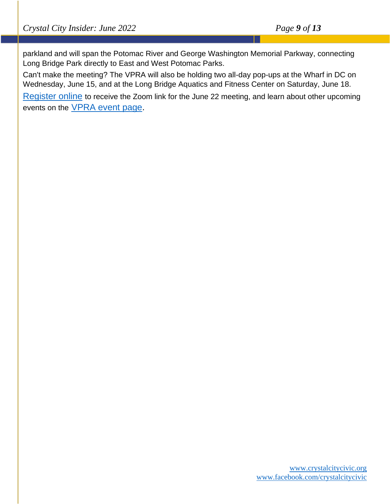parkland and will span the Potomac River and George Washington Memorial Parkway, connecting Long Bridge Park directly to East and West Potomac Parks.

Can't make the meeting? The VPRA will also be holding two all-day pop-ups at the Wharf in DC on Wednesday, June 15, and at the Long Bridge Aquatics and Fitness Center on Saturday, June 18.

[Register online](https://lnks.gd/l/eyJhbGciOiJIUzI1NiJ9.eyJidWxsZXRpbl9saW5rX2lkIjoxMDgsInVyaSI6ImJwMjpjbGljayIsImJ1bGxldGluX2lkIjoiMjAyMjA2MDEuNTg3MjcxNzEiLCJ1cmwiOiJodHRwczovL3ZoYi56b29tLnVzL3dlYmluYXIvcmVnaXN0ZXIvV05fdEx6b1hWd1FSeUtGaW5sRFVNQlI2QSJ9.59kVdGJwwC-InVPQxhorYVzjN_389KMkGvxGiwGY7NE/s/1376139689/br/132200091710-l) to receive the Zoom link for the June 22 meeting, and learn about other upcoming events on the [VPRA event page.](https://lnks.gd/l/eyJhbGciOiJIUzI1NiJ9.eyJidWxsZXRpbl9saW5rX2lkIjoxMDksInVyaSI6ImJwMjpjbGljayIsImJ1bGxldGluX2lkIjoiMjAyMjA2MDEuNTg3MjcxNzEiLCJ1cmwiOiJodHRwczovL3ZhcGFzc2VuZ2VycmFpbGF1dGhvcml0eS5vcmcvZXZlbnRzIn0.kJ4B1sp04B7ZmrAracOe9Znd3uDcqckJXRwPWkM2w5c/s/1376139689/br/132200091710-l)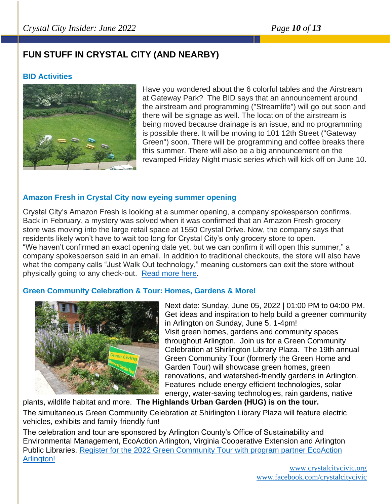# **FUN STUFF IN CRYSTAL CITY (AND NEARBY)**

# **BID Activities**



Have you wondered about the 6 colorful tables and the Airstream at Gateway Park? The BID says that an announcement around the airstream and programming ("Streamlife") will go out soon and there will be signage as well. The location of the airstream is being moved because drainage is an issue, and no programming is possible there. It will be moving to 101 12th Street ("Gateway Green") soon. There will be programming and coffee breaks there this summer. There will also be a big announcement on the revamped Friday Night music series which will kick off on June 10.

# **Amazon Fresh in Crystal City now eyeing summer opening**

Crystal City's Amazon Fresh is looking at a summer opening, a company spokesperson confirms. Back in February, a mystery was solved when it was confirmed that an Amazon Fresh grocery store was moving into the large retail space at 1550 Crystal Drive. Now, the company says that residents likely won't have to wait too long for Crystal City's only grocery store to open. "We haven't confirmed an exact opening date yet, but we can confirm it will open this summer," a company spokesperson said in an email. In addition to traditional checkouts, the store will also have what the company calls "Just Walk Out technology," meaning customers can exit the store without physically going to any check-out. [Read more here.](https://www.arlnow.com/2022/05/25/amazon-fresh-in-crystal-city-now-eyeing-summer-opening/?mc_cid=3befaabd6a&mc_eid=e22d65c5c2)

#### **Green Community Celebration & Tour: Homes, Gardens & More!**



Next date: Sunday, June 05, 2022 | 01:00 PM to 04:00 PM. Get ideas and inspiration to help build a greener community in Arlington on Sunday, June 5, 1-4pm! Visit green homes, gardens and community spaces throughout Arlington. Join us for a Green Community Celebration at Shirlington Library Plaza. The 19th annual Green Community Tour (formerly the Green Home and Garden Tour) will showcase green homes, green renovations, and watershed-friendly gardens in Arlington. Features include energy efficient technologies, solar energy, water-saving technologies, rain gardens, native

plants, wildlife habitat and more. **The Highlands Urban Garden (HUG) is on the tour.**

The simultaneous Green Community Celebration at Shirlington Library Plaza will feature electric vehicles, exhibits and family-friendly fun!

The celebration and tour are sponsored by Arlington County's Office of Sustainability and Environmental Management, EcoAction Arlington, Virginia Cooperative Extension and Arlington Public Libraries. [Register for the 2022 Green Community Tour with program partner EcoAction](https://interland3.donorperfect.net/weblink/weblink.aspx?name=E351125&id=52)  [Arlington!](https://interland3.donorperfect.net/weblink/weblink.aspx?name=E351125&id=52)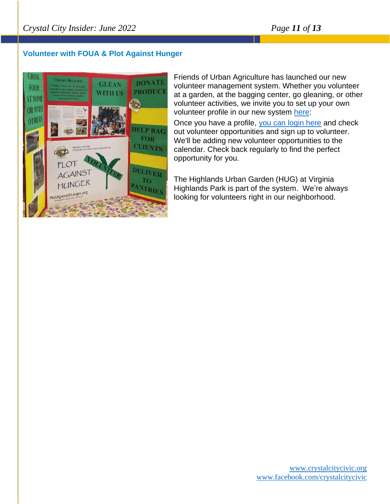# **Volunteer with FOUA & Plot Against Hunger**



Friends of Urban Agriculture has launched our new volunteer management system. Whether you volunteer at a garden, at the bagging center, go gleaning, or other volunteer activities, we invite you to set up your own volunteer profile in our new system [here:](https://arlingtonurbanag.org/volunteer/)

Once you have a profile, [you can login here](https://arlingtonurbanag.org/volunteer-login/) and check out volunteer opportunities and sign up to volunteer. We'll be adding new volunteer opportunities to the calendar. Check back regularly to find the perfect opportunity for you.

The Highlands Urban Garden (HUG) at Virginia Highlands Park is part of the system. We're always looking for volunteers right in our neighborhood.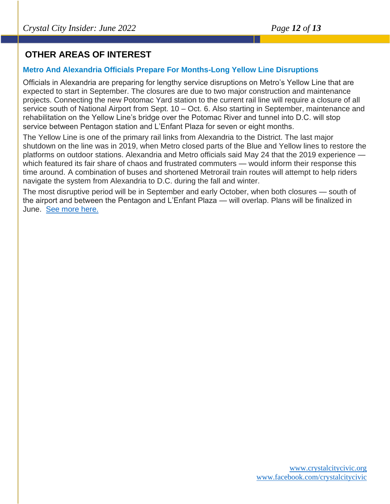# **OTHER AREAS OF INTEREST**

# **Metro And Alexandria Officials Prepare For Months-Long Yellow Line Disruptions**

Officials in Alexandria are preparing for lengthy service disruptions on Metro's Yellow Line that are expected to start in September. The closures are due to two major construction and maintenance projects. Connecting the new Potomac Yard station to the current rail line will require a closure of all service south of National Airport from Sept. 10 – Oct. 6. Also starting in September, maintenance and rehabilitation on the Yellow Line's bridge over the Potomac River and tunnel into D.C. will stop service between Pentagon station and L'Enfant Plaza for seven or eight months.

The Yellow Line is one of the primary rail links from Alexandria to the District. The last major shutdown on the line was in 2019, when Metro closed parts of the Blue and Yellow lines to restore the platforms on outdoor stations. Alexandria and Metro officials said May 24 that the 2019 experience which featured its fair share of chaos and frustrated commuters — would inform their response this time around. A combination of buses and shortened Metrorail train routes will attempt to help riders navigate the system from Alexandria to D.C. during the fall and winter.

The most disruptive period will be in September and early October, when both closures — south of the airport and between the Pentagon and L'Enfant Plaza — will overlap. Plans will be finalized in June. [See more here.](https://dcist.com/story/22/05/25/alexandria-yellow-line-metro-bridge/)